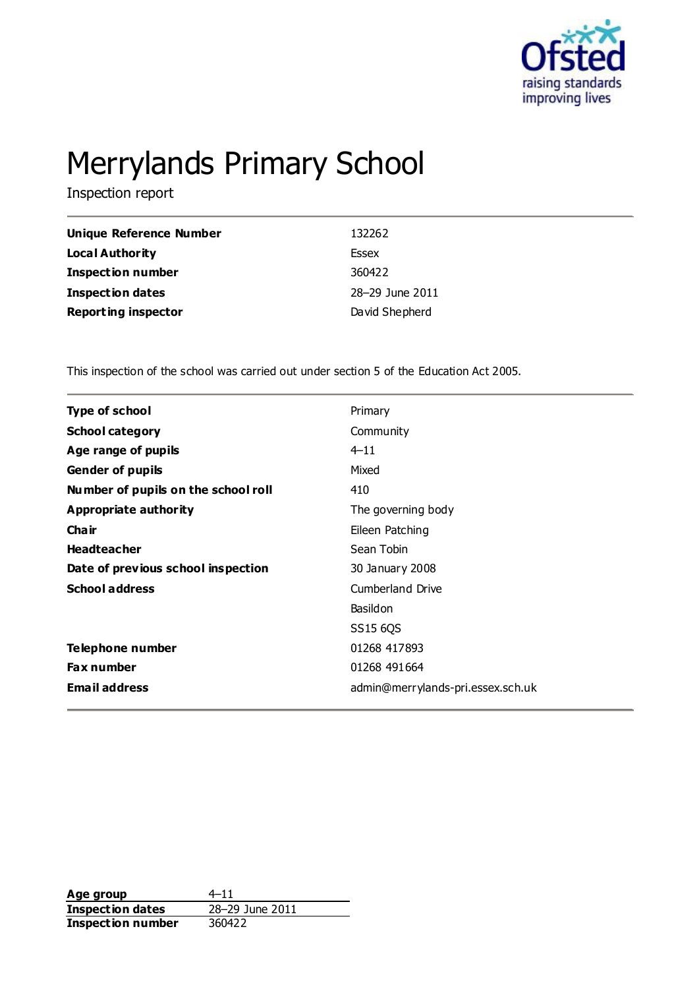

# Merrylands Primary School

Inspection report

| <b>Unique Reference Number</b> | 132262          |
|--------------------------------|-----------------|
| <b>Local Authority</b>         | Essex           |
| <b>Inspection number</b>       | 360422          |
| <b>Inspection dates</b>        | 28-29 June 2011 |
| <b>Reporting inspector</b>     | David Shepherd  |

This inspection of the school was carried out under section 5 of the Education Act 2005.

| Type of school                      | Primary                           |
|-------------------------------------|-----------------------------------|
| <b>School category</b>              | Community                         |
| Age range of pupils                 | $4 - 11$                          |
| <b>Gender of pupils</b>             | Mixed                             |
| Number of pupils on the school roll | 410                               |
| Appropriate authority               | The governing body                |
| Cha ir                              | Eileen Patching                   |
| <b>Headteacher</b>                  | Sean Tobin                        |
| Date of previous school inspection  | 30 January 2008                   |
| <b>School address</b>               | Cumberland Drive                  |
|                                     | Basildon                          |
|                                     | SS15 6QS                          |
| Telephone number                    | 01268 417893                      |
| <b>Fax number</b>                   | 01268 491664                      |
| <b>Email address</b>                | admin@merrylands-pri.essex.sch.uk |
|                                     |                                   |

**Age group**  $4-11$ <br> **Inspection dates**  $28-29$  June 2011 **Inspection dates Inspection number** 360422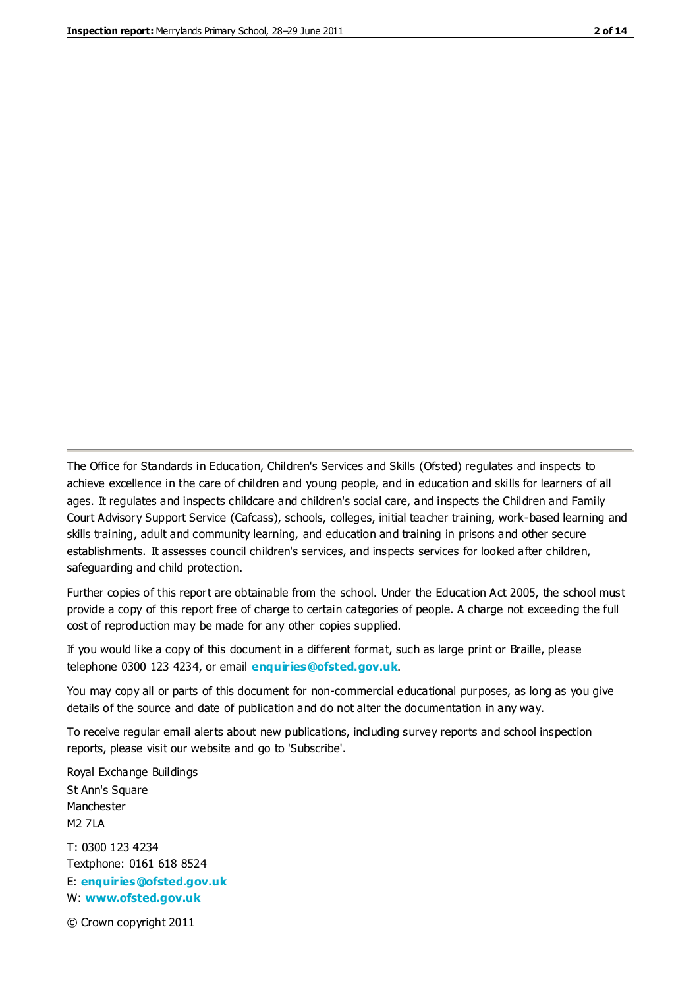The Office for Standards in Education, Children's Services and Skills (Ofsted) regulates and inspects to achieve excellence in the care of children and young people, and in education and skills for learners of all ages. It regulates and inspects childcare and children's social care, and inspects the Children and Family Court Advisory Support Service (Cafcass), schools, colleges, initial teacher training, work-based learning and skills training, adult and community learning, and education and training in prisons and other secure establishments. It assesses council children's services, and inspects services for looked after children, safeguarding and child protection.

Further copies of this report are obtainable from the school. Under the Education Act 2005, the school must provide a copy of this report free of charge to certain categories of people. A charge not exceeding the full cost of reproduction may be made for any other copies supplied.

If you would like a copy of this document in a different format, such as large print or Braille, please telephone 0300 123 4234, or email **[enquiries@ofsted.gov.uk](mailto:enquiries@ofsted.gov.uk)**.

You may copy all or parts of this document for non-commercial educational purposes, as long as you give details of the source and date of publication and do not alter the documentation in any way.

To receive regular email alerts about new publications, including survey reports and school inspection reports, please visit our website and go to 'Subscribe'.

Royal Exchange Buildings St Ann's Square Manchester M2 7LA T: 0300 123 4234 Textphone: 0161 618 8524 E: **[enquiries@ofsted.gov.uk](mailto:enquiries@ofsted.gov.uk)**

W: **[www.ofsted.gov.uk](http://www.ofsted.gov.uk/)**

© Crown copyright 2011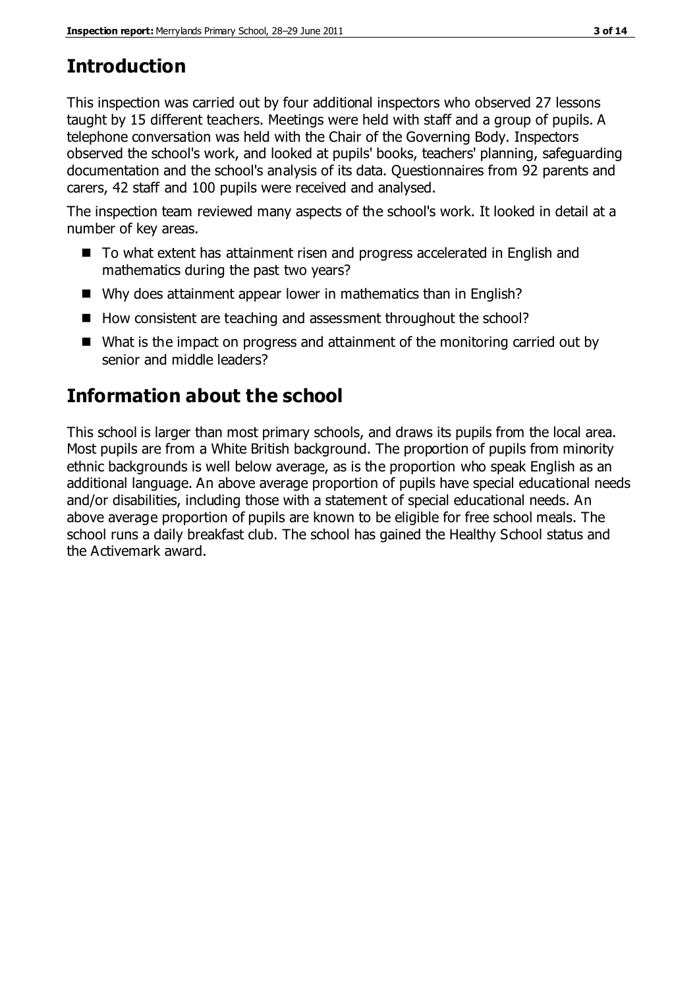# **Introduction**

This inspection was carried out by four additional inspectors who observed 27 lessons taught by 15 different teachers. Meetings were held with staff and a group of pupils. A telephone conversation was held with the Chair of the Governing Body. Inspectors observed the school's work, and looked at pupils' books, teachers' planning, safeguarding documentation and the school's analysis of its data. Questionnaires from 92 parents and carers, 42 staff and 100 pupils were received and analysed.

The inspection team reviewed many aspects of the school's work. It looked in detail at a number of key areas.

- To what extent has attainment risen and progress accelerated in English and mathematics during the past two years?
- Why does attainment appear lower in mathematics than in English?
- How consistent are teaching and assessment throughout the school?
- What is the impact on progress and attainment of the monitoring carried out by senior and middle leaders?

# **Information about the school**

This school is larger than most primary schools, and draws its pupils from the local area. Most pupils are from a White British background. The proportion of pupils from minority ethnic backgrounds is well below average, as is the proportion who speak English as an additional language. An above average proportion of pupils have special educational needs and/or disabilities, including those with a statement of special educational needs. An above average proportion of pupils are known to be eligible for free school meals. The school runs a daily breakfast club. The school has gained the Healthy School status and the Activemark award.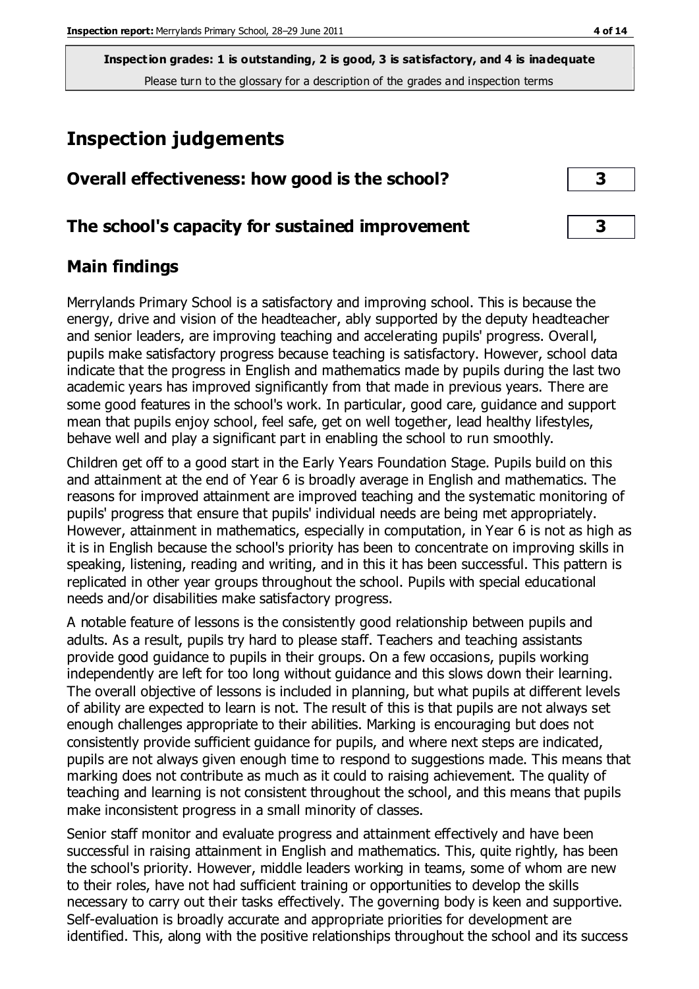# **Inspection judgements**

| Overall effectiveness: how good is the school?  |  |
|-------------------------------------------------|--|
| The school's capacity for sustained improvement |  |

## **Main findings**

Merrylands Primary School is a satisfactory and improving school. This is because the energy, drive and vision of the headteacher, ably supported by the deputy headteacher and senior leaders, are improving teaching and accelerating pupils' progress. Overall, pupils make satisfactory progress because teaching is satisfactory. However, school data indicate that the progress in English and mathematics made by pupils during the last two academic years has improved significantly from that made in previous years. There are some good features in the school's work. In particular, good care, guidance and support mean that pupils enjoy school, feel safe, get on well together, lead healthy lifestyles, behave well and play a significant part in enabling the school to run smoothly.

Children get off to a good start in the Early Years Foundation Stage. Pupils build on this and attainment at the end of Year 6 is broadly average in English and mathematics. The reasons for improved attainment are improved teaching and the systematic monitoring of pupils' progress that ensure that pupils' individual needs are being met appropriately. However, attainment in mathematics, especially in computation, in Year 6 is not as high as it is in English because the school's priority has been to concentrate on improving skills in speaking, listening, reading and writing, and in this it has been successful. This pattern is replicated in other year groups throughout the school. Pupils with special educational needs and/or disabilities make satisfactory progress.

A notable feature of lessons is the consistently good relationship between pupils and adults. As a result, pupils try hard to please staff. Teachers and teaching assistants provide good guidance to pupils in their groups. On a few occasions, pupils working independently are left for too long without guidance and this slows down their learning. The overall objective of lessons is included in planning, but what pupils at different levels of ability are expected to learn is not. The result of this is that pupils are not always set enough challenges appropriate to their abilities. Marking is encouraging but does not consistently provide sufficient guidance for pupils, and where next steps are indicated, pupils are not always given enough time to respond to suggestions made. This means that marking does not contribute as much as it could to raising achievement. The quality of teaching and learning is not consistent throughout the school, and this means that pupils make inconsistent progress in a small minority of classes.

Senior staff monitor and evaluate progress and attainment effectively and have been successful in raising attainment in English and mathematics. This, quite rightly, has been the school's priority. However, middle leaders working in teams, some of whom are new to their roles, have not had sufficient training or opportunities to develop the skills necessary to carry out their tasks effectively. The governing body is keen and supportive. Self-evaluation is broadly accurate and appropriate priorities for development are identified. This, along with the positive relationships throughout the school and its success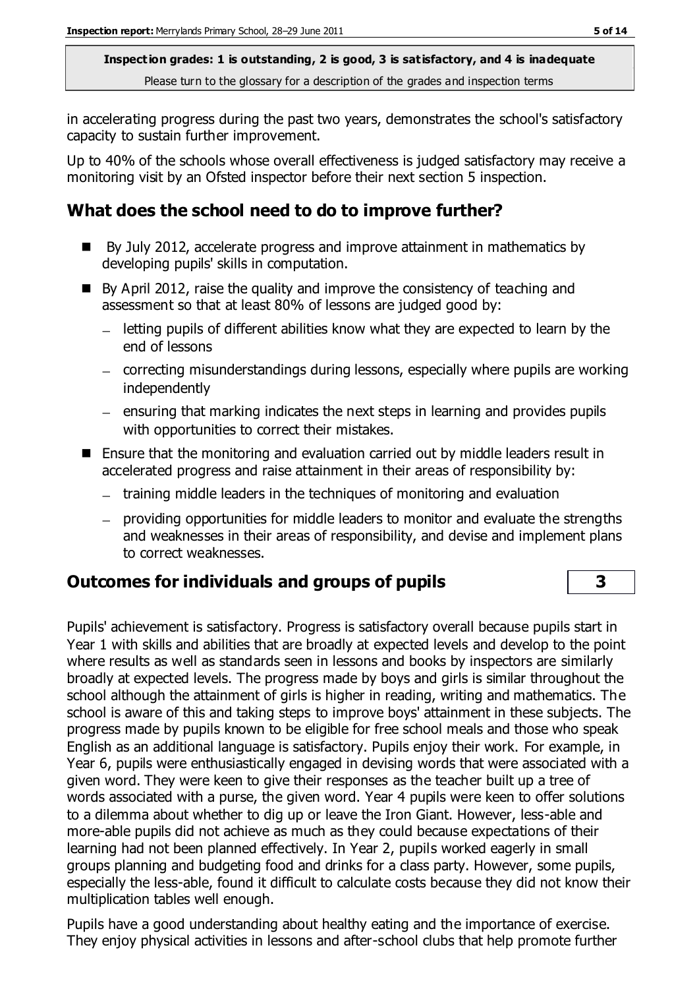in accelerating progress during the past two years, demonstrates the school's satisfactory capacity to sustain further improvement.

Up to 40% of the schools whose overall effectiveness is judged satisfactory may receive a monitoring visit by an Ofsted inspector before their next section 5 inspection.

## **What does the school need to do to improve further?**

- By July 2012, accelerate progress and improve attainment in mathematics by developing pupils' skills in computation.
- By April 2012, raise the quality and improve the consistency of teaching and assessment so that at least 80% of lessons are judged good by:
	- letting pupils of different abilities know what they are expected to learn by the end of lessons
	- correcting misunderstandings during lessons, especially where pupils are working independently
	- $-$  ensuring that marking indicates the next steps in learning and provides pupils with opportunities to correct their mistakes.
- Ensure that the monitoring and evaluation carried out by middle leaders result in accelerated progress and raise attainment in their areas of responsibility by:
	- training middle leaders in the techniques of monitoring and evaluation
	- providing opportunities for middle leaders to monitor and evaluate the strengths and weaknesses in their areas of responsibility, and devise and implement plans to correct weaknesses.

## **Outcomes for individuals and groups of pupils 3**

Pupils' achievement is satisfactory. Progress is satisfactory overall because pupils start in Year 1 with skills and abilities that are broadly at expected levels and develop to the point where results as well as standards seen in lessons and books by inspectors are similarly broadly at expected levels. The progress made by boys and girls is similar throughout the school although the attainment of girls is higher in reading, writing and mathematics. The school is aware of this and taking steps to improve boys' attainment in these subjects. The progress made by pupils known to be eligible for free school meals and those who speak English as an additional language is satisfactory. Pupils enjoy their work. For example, in Year 6, pupils were enthusiastically engaged in devising words that were associated with a given word. They were keen to give their responses as the teacher built up a tree of words associated with a purse, the given word. Year 4 pupils were keen to offer solutions to a dilemma about whether to dig up or leave the Iron Giant. However, less-able and more-able pupils did not achieve as much as they could because expectations of their learning had not been planned effectively. In Year 2, pupils worked eagerly in small groups planning and budgeting food and drinks for a class party. However, some pupils, especially the less-able, found it difficult to calculate costs because they did not know their multiplication tables well enough.

Pupils have a good understanding about healthy eating and the importance of exercise. They enjoy physical activities in lessons and after-school clubs that help promote further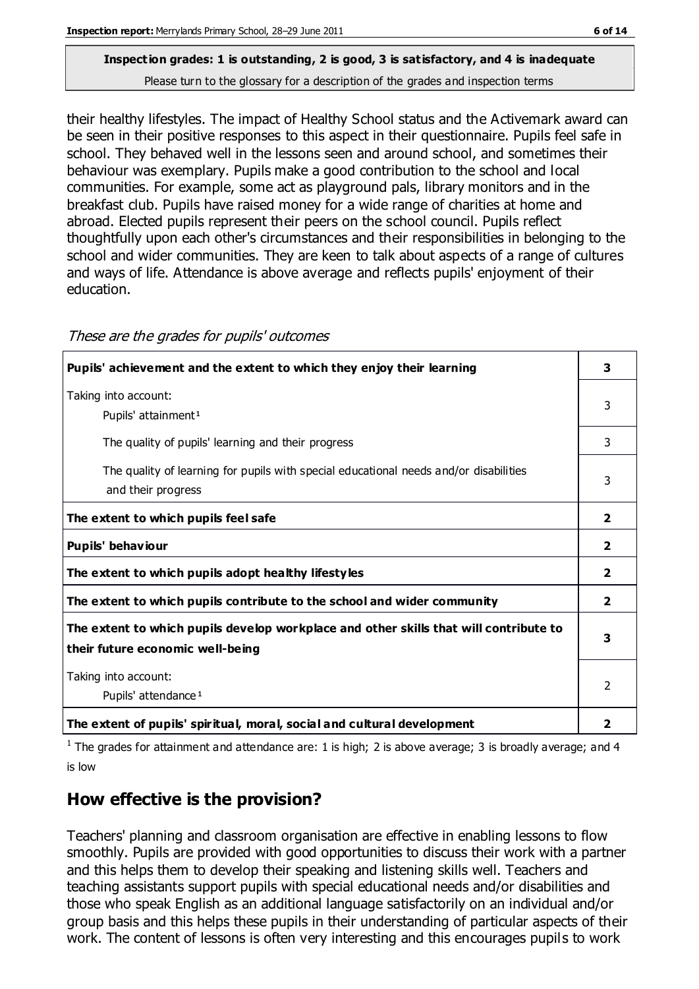# **Inspection grades: 1 is outstanding, 2 is good, 3 is satisfactory, and 4 is inadequate**

Please turn to the glossary for a description of the grades and inspection terms

their healthy lifestyles. The impact of Healthy School status and the Activemark award can be seen in their positive responses to this aspect in their questionnaire. Pupils feel safe in school. They behaved well in the lessons seen and around school, and sometimes their behaviour was exemplary. Pupils make a good contribution to the school and local communities. For example, some act as playground pals, library monitors and in the breakfast club. Pupils have raised money for a wide range of charities at home and abroad. Elected pupils represent their peers on the school council. Pupils reflect thoughtfully upon each other's circumstances and their responsibilities in belonging to the school and wider communities. They are keen to talk about aspects of a range of cultures and ways of life. Attendance is above average and reflects pupils' enjoyment of their education.

| Pupils' achievement and the extent to which they enjoy their learning                                                     | 3              |
|---------------------------------------------------------------------------------------------------------------------------|----------------|
| Taking into account:<br>Pupils' attainment <sup>1</sup>                                                                   | 3              |
| The quality of pupils' learning and their progress                                                                        | 3              |
| The quality of learning for pupils with special educational needs and/or disabilities<br>and their progress               | 3              |
| The extent to which pupils feel safe                                                                                      | $\mathbf{2}$   |
| Pupils' behaviour                                                                                                         | 2              |
| The extent to which pupils adopt healthy lifestyles                                                                       | 2              |
| The extent to which pupils contribute to the school and wider community                                                   | $\overline{2}$ |
| The extent to which pupils develop workplace and other skills that will contribute to<br>their future economic well-being |                |
| Taking into account:<br>Pupils' attendance <sup>1</sup>                                                                   | $\mathcal{P}$  |
| The extent of pupils' spiritual, moral, social and cultural development                                                   | 2              |

These are the grades for pupils' outcomes

<sup>1</sup> The grades for attainment and attendance are: 1 is high; 2 is above average; 3 is broadly average; and 4 is low

## **How effective is the provision?**

Teachers' planning and classroom organisation are effective in enabling lessons to flow smoothly. Pupils are provided with good opportunities to discuss their work with a partner and this helps them to develop their speaking and listening skills well. Teachers and teaching assistants support pupils with special educational needs and/or disabilities and those who speak English as an additional language satisfactorily on an individual and/or group basis and this helps these pupils in their understanding of particular aspects of their work. The content of lessons is often very interesting and this encourages pupils to work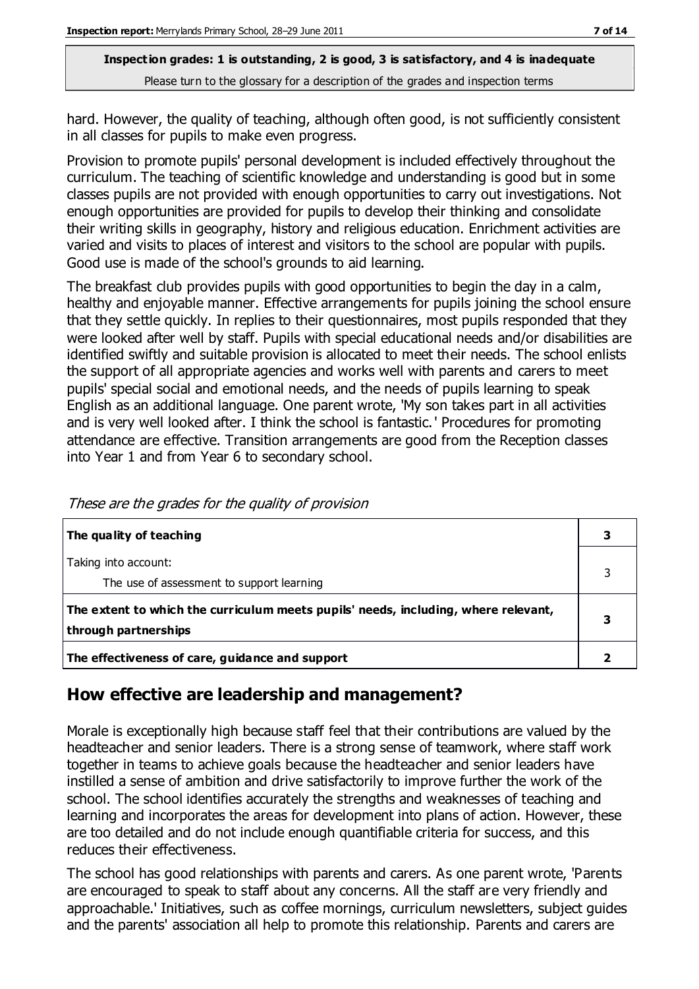hard. However, the quality of teaching, although often good, is not sufficiently consistent in all classes for pupils to make even progress.

Provision to promote pupils' personal development is included effectively throughout the curriculum. The teaching of scientific knowledge and understanding is good but in some classes pupils are not provided with enough opportunities to carry out investigations. Not enough opportunities are provided for pupils to develop their thinking and consolidate their writing skills in geography, history and religious education. Enrichment activities are varied and visits to places of interest and visitors to the school are popular with pupils. Good use is made of the school's grounds to aid learning.

The breakfast club provides pupils with good opportunities to begin the day in a calm, healthy and enjoyable manner. Effective arrangements for pupils joining the school ensure that they settle quickly. In replies to their questionnaires, most pupils responded that they were looked after well by staff. Pupils with special educational needs and/or disabilities are identified swiftly and suitable provision is allocated to meet their needs. The school enlists the support of all appropriate agencies and works well with parents and carers to meet pupils' special social and emotional needs, and the needs of pupils learning to speak English as an additional language. One parent wrote, 'My son takes part in all activities and is very well looked after. I think the school is fantastic.' Procedures for promoting attendance are effective. Transition arrangements are good from the Reception classes into Year 1 and from Year 6 to secondary school.

| The quality of teaching                                                                                    |  |
|------------------------------------------------------------------------------------------------------------|--|
| Taking into account:<br>The use of assessment to support learning                                          |  |
| The extent to which the curriculum meets pupils' needs, including, where relevant,<br>through partnerships |  |
| The effectiveness of care, guidance and support                                                            |  |

These are the grades for the quality of provision

## **How effective are leadership and management?**

Morale is exceptionally high because staff feel that their contributions are valued by the headteacher and senior leaders. There is a strong sense of teamwork, where staff work together in teams to achieve goals because the headteacher and senior leaders have instilled a sense of ambition and drive satisfactorily to improve further the work of the school. The school identifies accurately the strengths and weaknesses of teaching and learning and incorporates the areas for development into plans of action. However, these are too detailed and do not include enough quantifiable criteria for success, and this reduces their effectiveness.

The school has good relationships with parents and carers. As one parent wrote, 'Parents are encouraged to speak to staff about any concerns. All the staff are very friendly and approachable.' Initiatives, such as coffee mornings, curriculum newsletters, subject guides and the parents' association all help to promote this relationship. Parents and carers are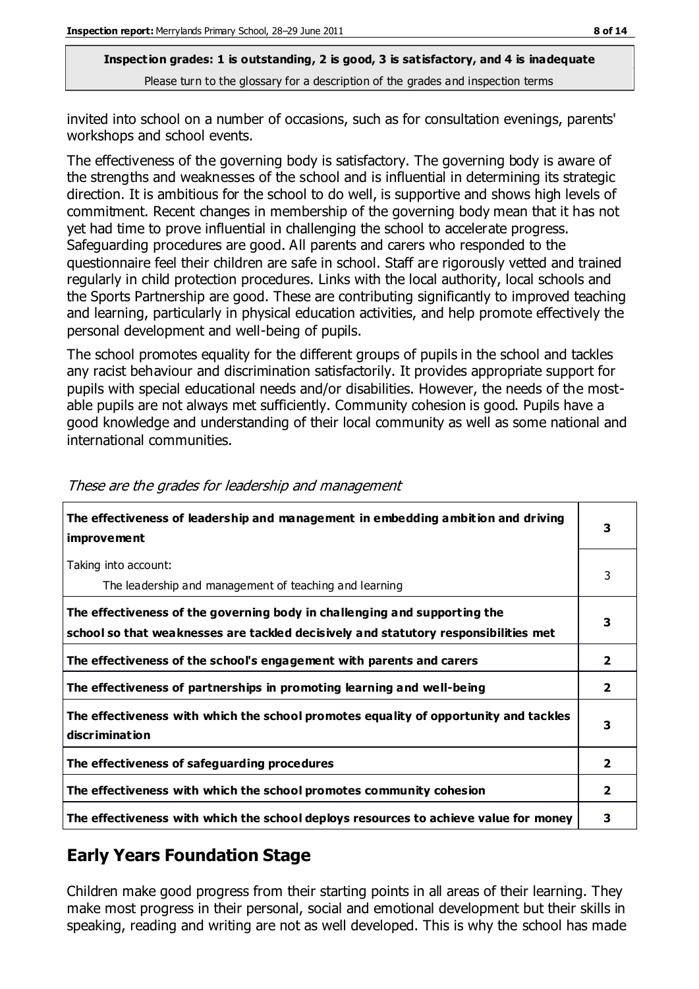invited into school on a number of occasions, such as for consultation evenings, parents' workshops and school events.

The effectiveness of the governing body is satisfactory. The governing body is aware of the strengths and weaknesses of the school and is influential in determining its strategic direction. It is ambitious for the school to do well, is supportive and shows high levels of commitment. Recent changes in membership of the governing body mean that it has not yet had time to prove influential in challenging the school to accelerate progress. Safeguarding procedures are good. All parents and carers who responded to the questionnaire feel their children are safe in school. Staff are rigorously vetted and trained regularly in child protection procedures. Links with the local authority, local schools and the Sports Partnership are good. These are contributing significantly to improved teaching and learning, particularly in physical education activities, and help promote effectively the personal development and well-being of pupils.

The school promotes equality for the different groups of pupils in the school and tackles any racist behaviour and discrimination satisfactorily. It provides appropriate support for pupils with special educational needs and/or disabilities. However, the needs of the mostable pupils are not always met sufficiently. Community cohesion is good. Pupils have a good knowledge and understanding of their local community as well as some national and international communities.

| The effectiveness of leadership and management in embedding ambition and driving<br>improvement                                                                  | 3              |
|------------------------------------------------------------------------------------------------------------------------------------------------------------------|----------------|
| Taking into account:<br>The leadership and management of teaching and learning                                                                                   | 3              |
| The effectiveness of the governing body in challenging and supporting the<br>school so that weaknesses are tackled decisively and statutory responsibilities met | 3              |
| The effectiveness of the school's engagement with parents and carers                                                                                             | $\overline{2}$ |
| The effectiveness of partnerships in promoting learning and well-being                                                                                           | 2              |
| The effectiveness with which the school promotes equality of opportunity and tackles<br>discr iminat ion                                                         | 3              |
| The effectiveness of safeguarding procedures                                                                                                                     | $\overline{2}$ |
| The effectiveness with which the school promotes community cohesion                                                                                              | $\overline{2}$ |
| The effectiveness with which the school deploys resources to achieve value for money                                                                             | 3              |

#### These are the grades for leadership and management

## **Early Years Foundation Stage**

Children make good progress from their starting points in all areas of their learning. They make most progress in their personal, social and emotional development but their skills in speaking, reading and writing are not as well developed. This is why the school has made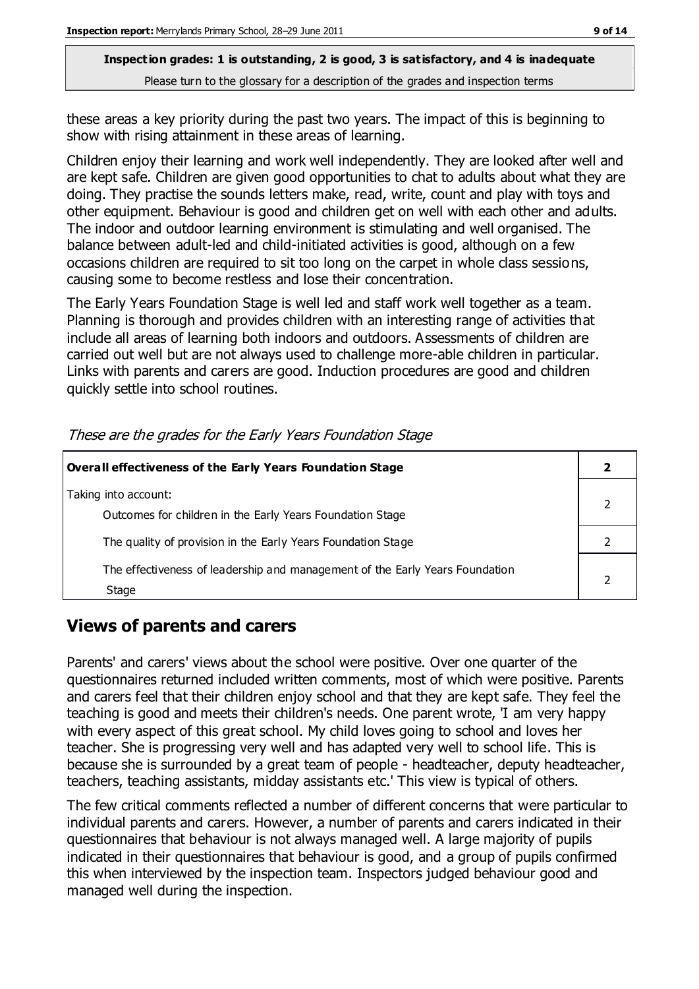these areas a key priority during the past two years. The impact of this is beginning to show with rising attainment in these areas of learning.

Children enjoy their learning and work well independently. They are looked after well and are kept safe. Children are given good opportunities to chat to adults about what they are doing. They practise the sounds letters make, read, write, count and play with toys and other equipment. Behaviour is good and children get on well with each other and adults. The indoor and outdoor learning environment is stimulating and well organised. The balance between adult-led and child-initiated activities is good, although on a few occasions children are required to sit too long on the carpet in whole class sessions, causing some to become restless and lose their concentration.

The Early Years Foundation Stage is well led and staff work well together as a team. Planning is thorough and provides children with an interesting range of activities that include all areas of learning both indoors and outdoors. Assessments of children are carried out well but are not always used to challenge more-able children in particular. Links with parents and carers are good. Induction procedures are good and children quickly settle into school routines.

| Overall effectiveness of the Early Years Foundation Stage                             |  |
|---------------------------------------------------------------------------------------|--|
| Taking into account:<br>Outcomes for children in the Early Years Foundation Stage     |  |
| The quality of provision in the Early Years Foundation Stage                          |  |
| The effectiveness of leadership and management of the Early Years Foundation<br>Stage |  |

These are the grades for the Early Years Foundation Stage

## **Views of parents and carers**

Parents' and carers' views about the school were positive. Over one quarter of the questionnaires returned included written comments, most of which were positive. Parents and carers feel that their children enjoy school and that they are kept safe. They feel the teaching is good and meets their children's needs. One parent wrote, 'I am very happy with every aspect of this great school. My child loves going to school and loves her teacher. She is progressing very well and has adapted very well to school life. This is because she is surrounded by a great team of people - headteacher, deputy headteacher, teachers, teaching assistants, midday assistants etc.' This view is typical of others.

The few critical comments reflected a number of different concerns that were particular to individual parents and carers. However, a number of parents and carers indicated in their questionnaires that behaviour is not always managed well. A large majority of pupils indicated in their questionnaires that behaviour is good, and a group of pupils confirmed this when interviewed by the inspection team. Inspectors judged behaviour good and managed well during the inspection.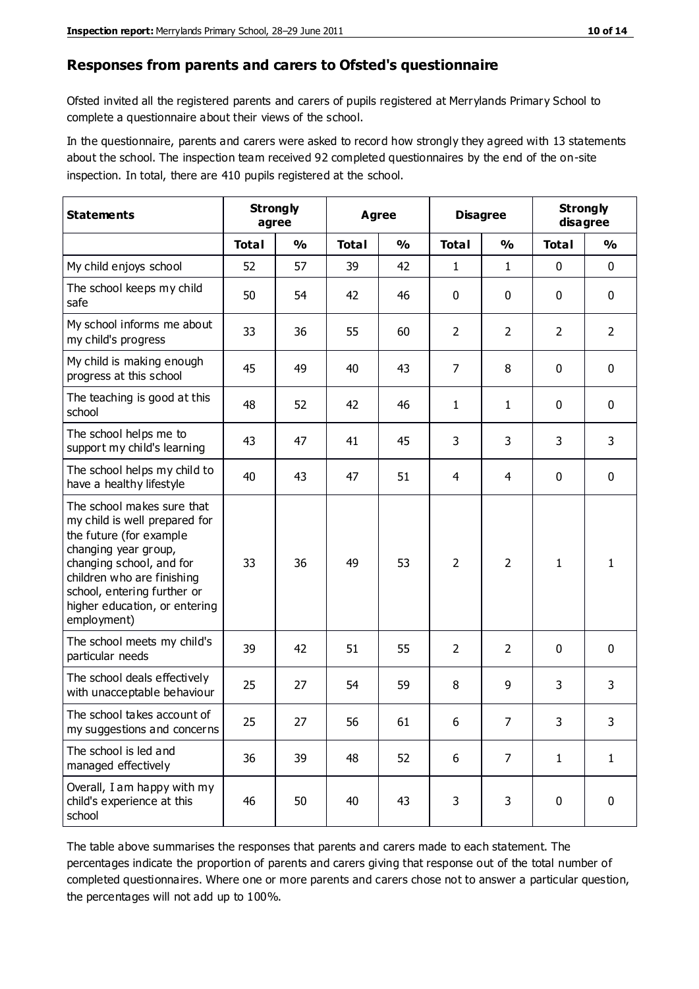#### **Responses from parents and carers to Ofsted's questionnaire**

Ofsted invited all the registered parents and carers of pupils registered at Merrylands Primary School to complete a questionnaire about their views of the school.

In the questionnaire, parents and carers were asked to record how strongly they agreed with 13 statements about the school. The inspection team received 92 completed questionnaires by the end of the on-site inspection. In total, there are 410 pupils registered at the school.

| <b>Statements</b>                                                                                                                                                                                                                                       |              | <b>Strongly</b><br>Agree<br>agree |              | <b>Disagree</b> |                | <b>Strongly</b><br>disagree |                |                |
|---------------------------------------------------------------------------------------------------------------------------------------------------------------------------------------------------------------------------------------------------------|--------------|-----------------------------------|--------------|-----------------|----------------|-----------------------------|----------------|----------------|
|                                                                                                                                                                                                                                                         | <b>Total</b> | $\frac{0}{0}$                     | <b>Total</b> | $\frac{0}{0}$   | <b>Total</b>   | $\frac{0}{0}$               | <b>Total</b>   | $\frac{0}{0}$  |
| My child enjoys school                                                                                                                                                                                                                                  | 52           | 57                                | 39           | 42              | 1              | $\mathbf{1}$                | $\mathbf 0$    | $\mathbf 0$    |
| The school keeps my child<br>safe                                                                                                                                                                                                                       | 50           | 54                                | 42           | 46              | 0              | 0                           | $\mathbf 0$    | $\mathbf 0$    |
| My school informs me about<br>my child's progress                                                                                                                                                                                                       | 33           | 36                                | 55           | 60              | $\overline{2}$ | $\overline{2}$              | $\overline{2}$ | $\overline{2}$ |
| My child is making enough<br>progress at this school                                                                                                                                                                                                    | 45           | 49                                | 40           | 43              | $\overline{7}$ | 8                           | 0              | $\mathbf 0$    |
| The teaching is good at this<br>school                                                                                                                                                                                                                  | 48           | 52                                | 42           | 46              | 1              | $\mathbf{1}$                | $\mathbf 0$    | $\mathbf 0$    |
| The school helps me to<br>support my child's learning                                                                                                                                                                                                   | 43           | 47                                | 41           | 45              | 3              | 3                           | 3              | 3              |
| The school helps my child to<br>have a healthy lifestyle                                                                                                                                                                                                | 40           | 43                                | 47           | 51              | 4              | $\overline{4}$              | $\mathbf 0$    | $\mathbf 0$    |
| The school makes sure that<br>my child is well prepared for<br>the future (for example<br>changing year group,<br>changing school, and for<br>children who are finishing<br>school, entering further or<br>higher education, or entering<br>employment) | 33           | 36                                | 49           | 53              | $\overline{2}$ | $\overline{2}$              | $\mathbf{1}$   | 1              |
| The school meets my child's<br>particular needs                                                                                                                                                                                                         | 39           | 42                                | 51           | 55              | $\overline{2}$ | $\overline{2}$              | $\mathbf 0$    | $\mathbf 0$    |
| The school deals effectively<br>with unacceptable behaviour                                                                                                                                                                                             | 25           | 27                                | 54           | 59              | 8              | 9                           | 3              | 3              |
| The school takes account of<br>my suggestions and concerns                                                                                                                                                                                              | 25           | 27                                | 56           | 61              | 6              | $\overline{7}$              | 3              | 3              |
| The school is led and<br>managed effectively                                                                                                                                                                                                            | 36           | 39                                | 48           | 52              | 6              | $\overline{7}$              | $\mathbf{1}$   | $\mathbf{1}$   |
| Overall, I am happy with my<br>child's experience at this<br>school                                                                                                                                                                                     | 46           | 50                                | 40           | 43              | 3              | 3                           | $\mathbf 0$    | $\mathbf 0$    |

The table above summarises the responses that parents and carers made to each statement. The percentages indicate the proportion of parents and carers giving that response out of the total number of completed questionnaires. Where one or more parents and carers chose not to answer a particular question, the percentages will not add up to 100%.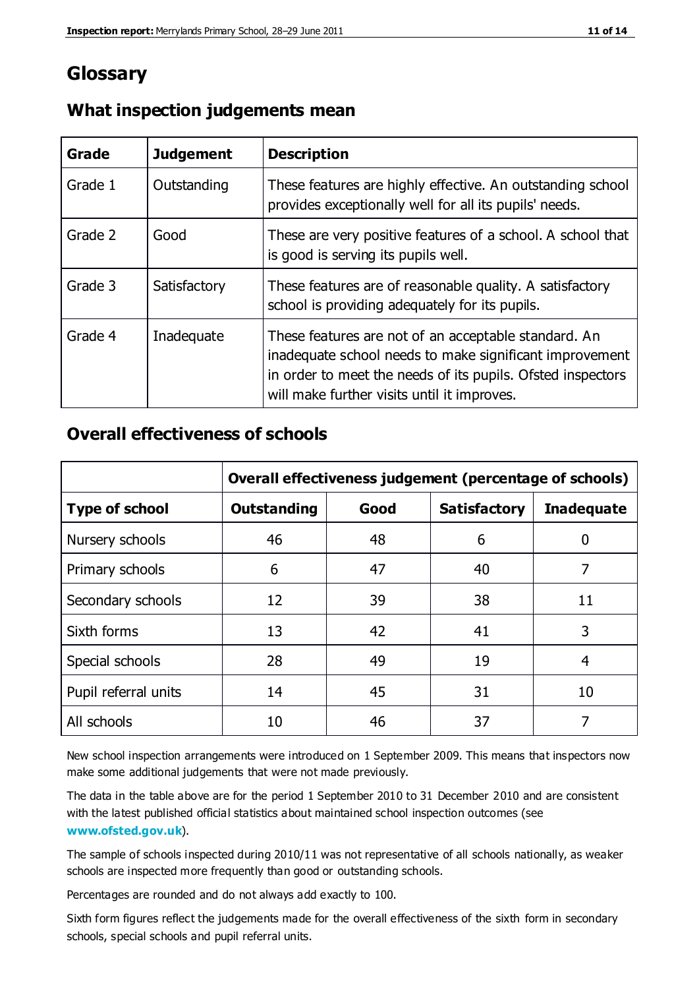## **Glossary**

| Grade   | <b>Judgement</b> | <b>Description</b>                                                                                                                                                                                                            |
|---------|------------------|-------------------------------------------------------------------------------------------------------------------------------------------------------------------------------------------------------------------------------|
| Grade 1 | Outstanding      | These features are highly effective. An outstanding school<br>provides exceptionally well for all its pupils' needs.                                                                                                          |
| Grade 2 | Good             | These are very positive features of a school. A school that<br>is good is serving its pupils well.                                                                                                                            |
| Grade 3 | Satisfactory     | These features are of reasonable quality. A satisfactory<br>school is providing adequately for its pupils.                                                                                                                    |
| Grade 4 | Inadequate       | These features are not of an acceptable standard. An<br>inadequate school needs to make significant improvement<br>in order to meet the needs of its pupils. Ofsted inspectors<br>will make further visits until it improves. |

#### **What inspection judgements mean**

#### **Overall effectiveness of schools**

|                       | Overall effectiveness judgement (percentage of schools) |      |                     |                   |
|-----------------------|---------------------------------------------------------|------|---------------------|-------------------|
| <b>Type of school</b> | <b>Outstanding</b>                                      | Good | <b>Satisfactory</b> | <b>Inadequate</b> |
| Nursery schools       | 46                                                      | 48   | 6                   |                   |
| Primary schools       | 6                                                       | 47   | 40                  | 7                 |
| Secondary schools     | 12                                                      | 39   | 38                  | 11                |
| Sixth forms           | 13                                                      | 42   | 41                  | 3                 |
| Special schools       | 28                                                      | 49   | 19                  | 4                 |
| Pupil referral units  | 14                                                      | 45   | 31                  | 10                |
| All schools           | 10                                                      | 46   | 37                  |                   |

New school inspection arrangements were introduced on 1 September 2009. This means that inspectors now make some additional judgements that were not made previously.

The data in the table above are for the period 1 September 2010 to 31 December 2010 and are consistent with the latest published official statistics about maintained school inspection outcomes (see **[www.ofsted.gov.uk](http://www.ofsted.gov.uk/)**).

The sample of schools inspected during 2010/11 was not representative of all schools nationally, as weaker schools are inspected more frequently than good or outstanding schools.

Percentages are rounded and do not always add exactly to 100.

Sixth form figures reflect the judgements made for the overall effectiveness of the sixth form in secondary schools, special schools and pupil referral units.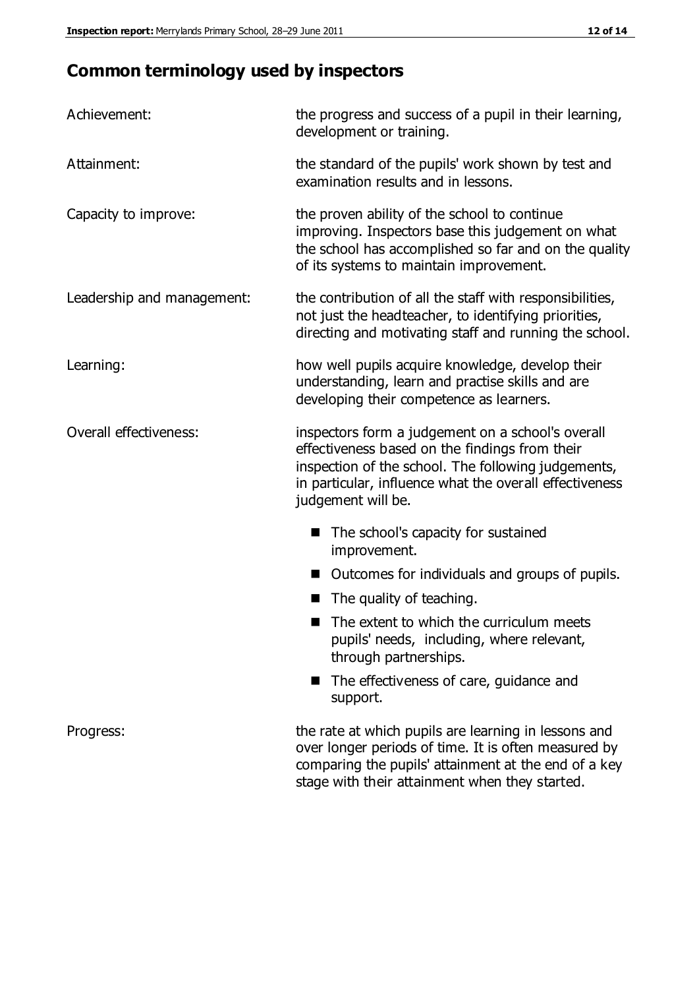# **Common terminology used by inspectors**

| Achievement:                  | the progress and success of a pupil in their learning,<br>development or training.                                                                                                                                                          |  |  |
|-------------------------------|---------------------------------------------------------------------------------------------------------------------------------------------------------------------------------------------------------------------------------------------|--|--|
| Attainment:                   | the standard of the pupils' work shown by test and<br>examination results and in lessons.                                                                                                                                                   |  |  |
| Capacity to improve:          | the proven ability of the school to continue<br>improving. Inspectors base this judgement on what<br>the school has accomplished so far and on the quality<br>of its systems to maintain improvement.                                       |  |  |
| Leadership and management:    | the contribution of all the staff with responsibilities,<br>not just the headteacher, to identifying priorities,<br>directing and motivating staff and running the school.                                                                  |  |  |
| Learning:                     | how well pupils acquire knowledge, develop their<br>understanding, learn and practise skills and are<br>developing their competence as learners.                                                                                            |  |  |
| <b>Overall effectiveness:</b> | inspectors form a judgement on a school's overall<br>effectiveness based on the findings from their<br>inspection of the school. The following judgements,<br>in particular, influence what the overall effectiveness<br>judgement will be. |  |  |
|                               | The school's capacity for sustained<br>improvement.                                                                                                                                                                                         |  |  |
|                               | Outcomes for individuals and groups of pupils.                                                                                                                                                                                              |  |  |
|                               | The quality of teaching.                                                                                                                                                                                                                    |  |  |
|                               | The extent to which the curriculum meets<br>pupils' needs, including, where relevant,<br>through partnerships.                                                                                                                              |  |  |
|                               | The effectiveness of care, guidance and<br>support.                                                                                                                                                                                         |  |  |
| Progress:                     | the rate at which pupils are learning in lessons and<br>over longer periods of time. It is often measured by<br>comparing the pupils' attainment at the end of a key                                                                        |  |  |

stage with their attainment when they started.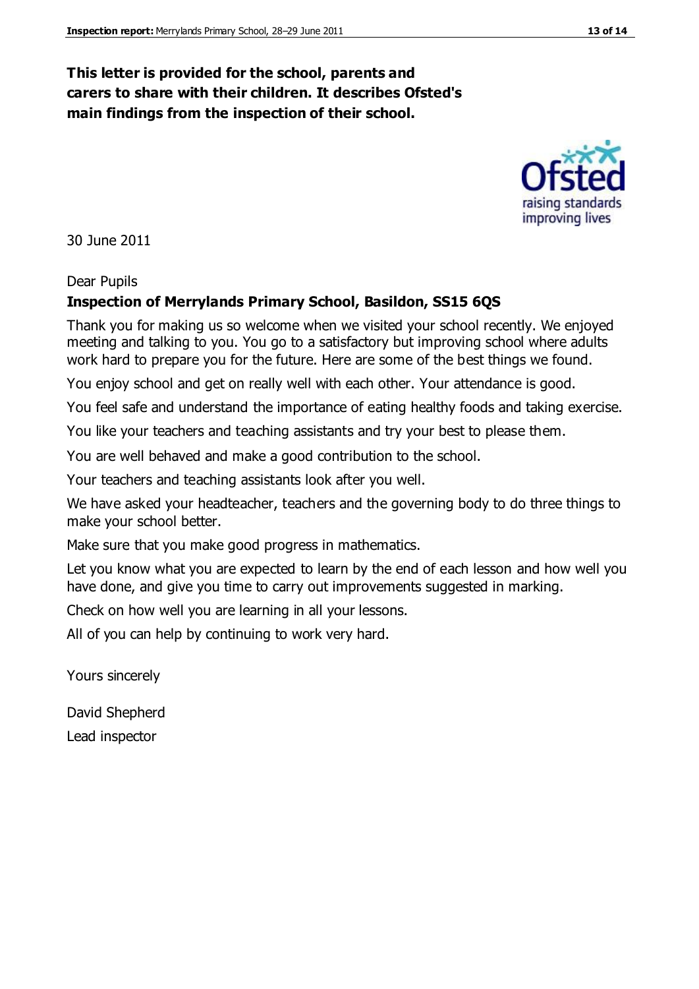#### **This letter is provided for the school, parents and carers to share with their children. It describes Ofsted's main findings from the inspection of their school.**

30 June 2011

#### Dear Pupils

#### **Inspection of Merrylands Primary School, Basildon, SS15 6QS**

Thank you for making us so welcome when we visited your school recently. We enjoyed meeting and talking to you. You go to a satisfactory but improving school where adults work hard to prepare you for the future. Here are some of the best things we found.

You enjoy school and get on really well with each other. Your attendance is good.

You feel safe and understand the importance of eating healthy foods and taking exercise.

You like your teachers and teaching assistants and try your best to please them.

You are well behaved and make a good contribution to the school.

Your teachers and teaching assistants look after you well.

We have asked your headteacher, teachers and the governing body to do three things to make your school better.

Make sure that you make good progress in mathematics.

Let you know what you are expected to learn by the end of each lesson and how well you have done, and give you time to carry out improvements suggested in marking.

Check on how well you are learning in all your lessons.

All of you can help by continuing to work very hard.

Yours sincerely

David Shepherd

Lead inspector